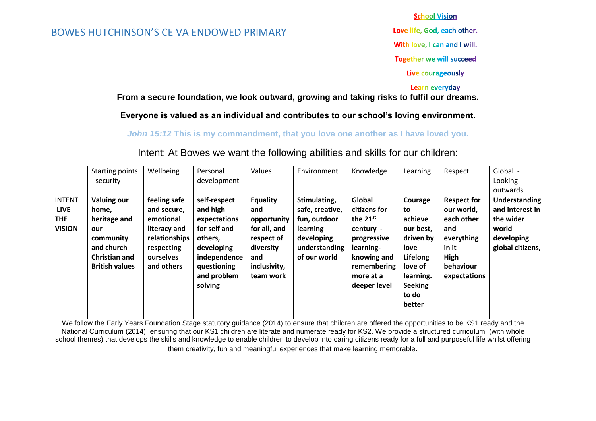#### BOWES HUTCHINSON'S CE VA ENDOWED PRIMARY

**School Vision** 

Love life, God, each other.

With love, I can and I will.

**Together we will succeed** 

Live courageously

#### Learn everyday

**From a secure foundation, we look outward, growing and taking risks to fulfil our dreams.**

**Everyone is valued as an individual and contributes to our school's loving environment.**

*John 15:12* **This is my commandment, that you love one another as I have loved you.**

Intent: At Bowes we want the following abilities and skills for our children:

|                                                             | <b>Starting points</b><br>- security                                                                                           | Wellbeing                                                                                                          | Personal<br>development                                                                                                                    | Values                                                                                                        | Environment                                                                                                | Knowledge                                                                                                                                   | Learning                                                                                                                            | Respect                                                                                                           | Global -<br>Looking<br>outwards                                                          |
|-------------------------------------------------------------|--------------------------------------------------------------------------------------------------------------------------------|--------------------------------------------------------------------------------------------------------------------|--------------------------------------------------------------------------------------------------------------------------------------------|---------------------------------------------------------------------------------------------------------------|------------------------------------------------------------------------------------------------------------|---------------------------------------------------------------------------------------------------------------------------------------------|-------------------------------------------------------------------------------------------------------------------------------------|-------------------------------------------------------------------------------------------------------------------|------------------------------------------------------------------------------------------|
| <b>INTENT</b><br><b>LIVE</b><br><b>THE</b><br><b>VISION</b> | <b>Valuing our</b><br>home.<br>heritage and<br>our<br>community<br>and church<br><b>Christian and</b><br><b>British values</b> | feeling safe<br>and secure,<br>emotional<br>literacy and<br>relationships<br>respecting<br>ourselves<br>and others | self-respect<br>and high<br>expectations<br>for self and<br>others,<br>developing<br>independence<br>questioning<br>and problem<br>solving | Equality<br>and<br>opportunity<br>for all, and<br>respect of<br>diversity<br>and<br>inclusivity,<br>team work | Stimulating,<br>safe, creative,<br>fun, outdoor<br>learning<br>developing<br>understanding<br>of our world | Global<br>citizens for<br>the $21^{st}$<br>century -<br>progressive<br>learning-<br>knowing and<br>remembering<br>more at a<br>deeper level | Courage<br>to<br>achieve<br>our best,<br>driven by<br>love<br>Lifelong<br>love of<br>learning.<br><b>Seeking</b><br>to do<br>better | <b>Respect for</b><br>our world,<br>each other<br>and<br>everything<br>in it<br>High<br>behaviour<br>expectations | Understanding<br>and interest in<br>the wider<br>world<br>developing<br>global citizens, |

We follow the Early Years Foundation Stage statutory guidance (2014) to ensure that children are offered the opportunities to be KS1 ready and the National Curriculum (2014), ensuring that our KS1 children are literate and numerate ready for KS2. We provide a structured curriculum (with whole school themes) that develops the skills and knowledge to enable children to develop into caring citizens ready for a full and purposeful life whilst offering them creativity, fun and meaningful experiences that make learning memorable.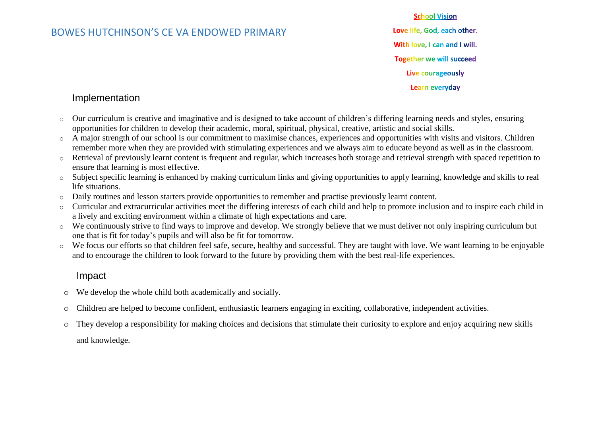# BOWES HUTCHINSON'S CE VA ENDOWED PRIMARY

**School Vision** Love life, God, each other. With love, I can and I will. **Together we will succeed** Live courageously Learn everyday

## Implementation

- $\circ$  Our curriculum is creative and imaginative and is designed to take account of children's differing learning needs and styles, ensuring opportunities for children to develop their academic, moral, spiritual, physical, creative, artistic and social skills.
- o A major strength of our school is our commitment to maximise chances, experiences and opportunities with visits and visitors. Children remember more when they are provided with stimulating experiences and we always aim to educate beyond as well as in the classroom.
- o Retrieval of previously learnt content is frequent and regular, which increases both storage and retrieval strength with spaced repetition to ensure that learning is most effective.
- o Subject specific learning is enhanced by making curriculum links and giving opportunities to apply learning, knowledge and skills to real life situations.
- o Daily routines and lesson starters provide opportunities to remember and practise previously learnt content.
- o Curricular and extracurricular activities meet the differing interests of each child and help to promote inclusion and to inspire each child in a lively and exciting environment within a climate of high expectations and care.
- o We continuously strive to find ways to improve and develop. We strongly believe that we must deliver not only inspiring curriculum but one that is fit for today's pupils and will also be fit for tomorrow.
- o We focus our efforts so that children feel safe, secure, healthy and successful. They are taught with love. We want learning to be enjoyable and to encourage the children to look forward to the future by providing them with the best real-life experiences.

# Impact

- o We develop the whole child both academically and socially.
- o Children are helped to become confident, enthusiastic learners engaging in exciting, collaborative, independent activities.
- o They develop a responsibility for making choices and decisions that stimulate their curiosity to explore and enjoy acquiring new skills and knowledge.